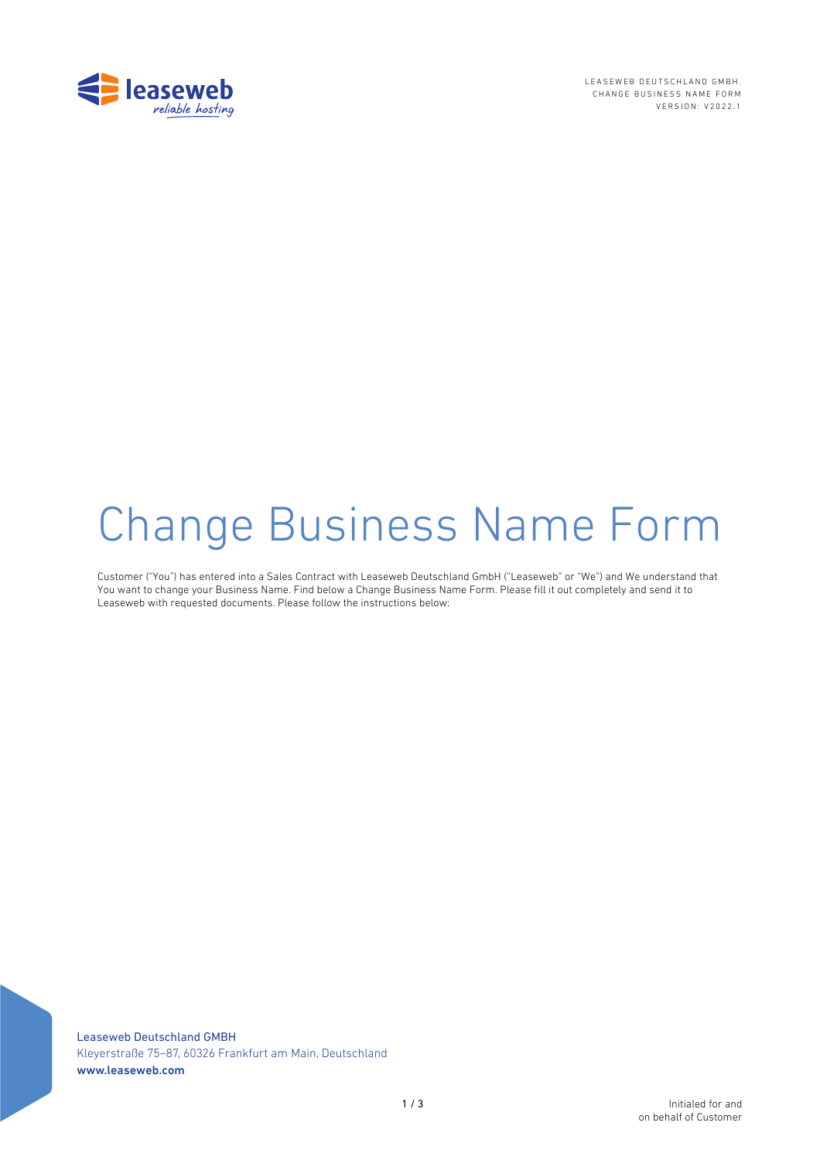

LEASEWEB DEUTSCHLAND GMBH. CHANGE BUSINESS NAME FORM VERSION: V202 2 . 1

# Change Business Name Form

Customer ("You") has entered into a Sales Contract with Leaseweb Deutschland GmbH ("Leaseweb" or "We") and We understand that You want to change your Business Name. Find below a Change Business Name Form. Please fill it out completely and send it to Leaseweb with requested documents. Please follow the instructions below:

Leaseweb Deutschland GMBH Kleyerstraße 75-87, 60326 Frankfurt am Main, Deutschland www.leaseweb.com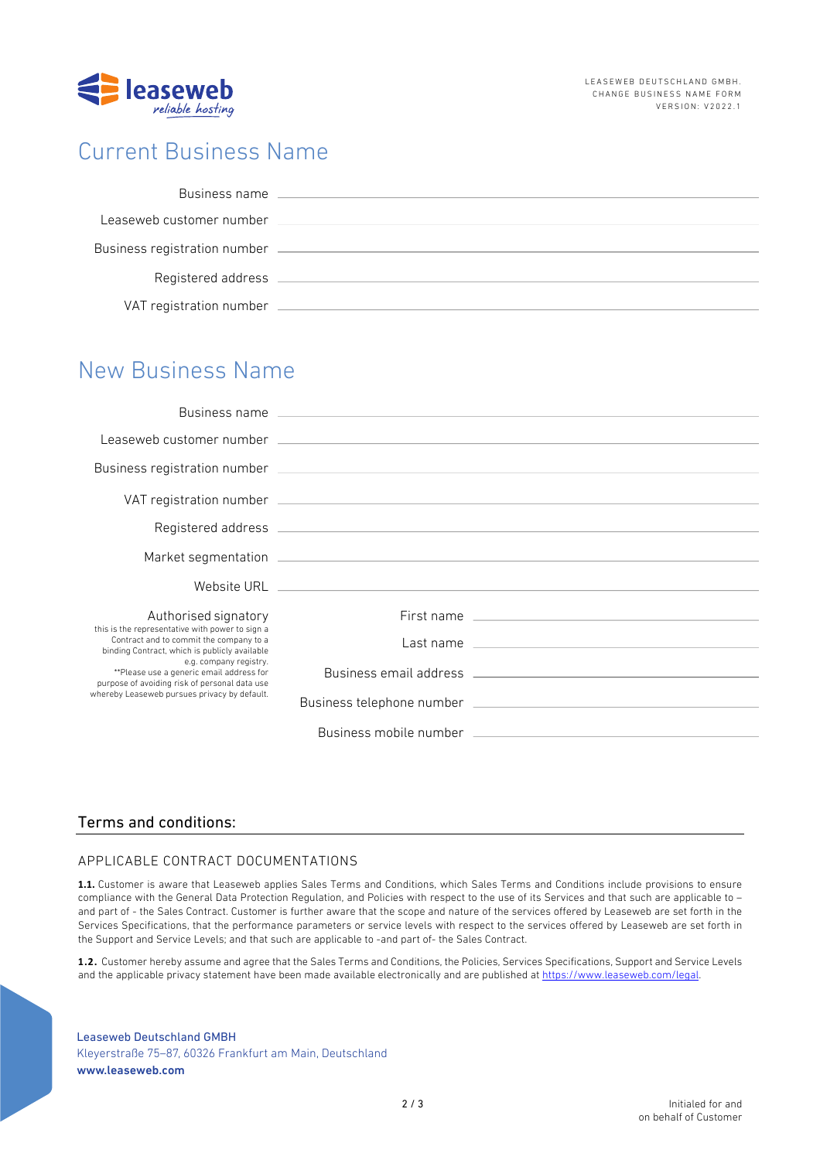

## Current Business Name

| Business name                |  |
|------------------------------|--|
| Leaseweb customer number     |  |
| Business registration number |  |
| Registered address           |  |
| VAT registration number      |  |

## New Business Name

|                                                                                                                                                                                                                                                                                                                    | Business name and the contract of the contract of the contract of the contract of the contract of the contract of the contract of the contract of the contract of the contract of the contract of the contract of the contract |                                                                                                                                                                                                                                |
|--------------------------------------------------------------------------------------------------------------------------------------------------------------------------------------------------------------------------------------------------------------------------------------------------------------------|--------------------------------------------------------------------------------------------------------------------------------------------------------------------------------------------------------------------------------|--------------------------------------------------------------------------------------------------------------------------------------------------------------------------------------------------------------------------------|
|                                                                                                                                                                                                                                                                                                                    |                                                                                                                                                                                                                                | Leaseweb customer number (2002) 2003 and 2004 and 2004 and 2004 and 2004 and 2004 and 2004 and 2004 and 2004 and 2004 and 2004 and 2004 and 2004 and 2004 and 2004 and 2004 and 2004 and 2004 and 2004 and 2004 and 2004 and 2 |
|                                                                                                                                                                                                                                                                                                                    |                                                                                                                                                                                                                                |                                                                                                                                                                                                                                |
|                                                                                                                                                                                                                                                                                                                    |                                                                                                                                                                                                                                |                                                                                                                                                                                                                                |
|                                                                                                                                                                                                                                                                                                                    |                                                                                                                                                                                                                                |                                                                                                                                                                                                                                |
|                                                                                                                                                                                                                                                                                                                    |                                                                                                                                                                                                                                |                                                                                                                                                                                                                                |
|                                                                                                                                                                                                                                                                                                                    |                                                                                                                                                                                                                                |                                                                                                                                                                                                                                |
| Authorised signatory                                                                                                                                                                                                                                                                                               |                                                                                                                                                                                                                                |                                                                                                                                                                                                                                |
| this is the representative with power to sign a<br>Contract and to commit the company to a<br>binding Contract, which is publicly available<br>e.g. company registry.<br>**Please use a generic email address for<br>purpose of avoiding risk of personal data use<br>whereby Leaseweb pursues privacy by default. |                                                                                                                                                                                                                                | Last name entirely and the state of the state of the state of the state of the state of the state of the state of the state of the state of the state of the state of the state of the state of the state of the state of the  |
|                                                                                                                                                                                                                                                                                                                    |                                                                                                                                                                                                                                | Business email address and the control of the control of the control of the control of the control of the control of the control of the control of the control of the control of the control of the control of the control of  |
|                                                                                                                                                                                                                                                                                                                    |                                                                                                                                                                                                                                |                                                                                                                                                                                                                                |
|                                                                                                                                                                                                                                                                                                                    |                                                                                                                                                                                                                                | Business mobile number that the control of the control of the control of the control of the control of the control of the control of the control of the control of the control of the control of the control of the control of |

### Terms and conditions:

#### APPLICABLE CONTRACT DOCUMENTATIONS

**1.1.** Customer is aware that Leaseweb applies Sales Terms and Conditions, which Sales Terms and Conditions include provisions to ensure compliance with the General Data Protection Regulation, and Policies with respect to the use of its Services and that such are applicable to – and part of - the Sales Contract. Customer is further aware that the scope and nature of the services offered by Leaseweb are set forth in the Services Specifications, that the performance parameters or service levels with respect to the services offered by Leaseweb are set forth in the Support and Service Levels; and that such are applicable to -and part of- the Sales Contract.

**1.2.** Customer hereby assume and agree that the Sales Terms and Conditions, the Policies, Services Specifications, Support and Service Levels and the applicable privacy statement have been made available electronically and are published at https://www.leaseweb.com/legal.

#### Leaseweb Deutschland GMBH Kleyerstraße 75-87, 60326 Frankfurt am Main, Deutschland www.leaseweb.com